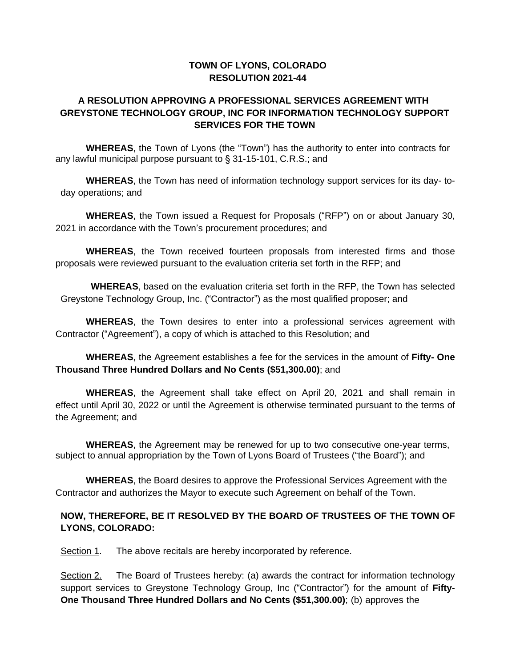### **TOWN OF LYONS, COLORADO RESOLUTION 2021-44**

### **A RESOLUTION APPROVING A PROFESSIONAL SERVICES AGREEMENT WITH GREYSTONE TECHNOLOGY GROUP, INC FOR INFORMATION TECHNOLOGY SUPPORT SERVICES FOR THE TOWN**

**WHEREAS**, the Town of Lyons (the "Town") has the authority to enter into contracts for any lawful municipal purpose pursuant to § 31-15-101, C.R.S.; and

**WHEREAS**, the Town has need of information technology support services for its day- today operations; and

**WHEREAS**, the Town issued a Request for Proposals ("RFP") on or about January 30, 2021 in accordance with the Town's procurement procedures; and

**WHEREAS**, the Town received fourteen proposals from interested firms and those proposals were reviewed pursuant to the evaluation criteria set forth in the RFP; and

**WHEREAS**, based on the evaluation criteria set forth in the RFP, the Town has selected Greystone Technology Group, Inc. ("Contractor") as the most qualified proposer; and

**WHEREAS**, the Town desires to enter into a professional services agreement with Contractor ("Agreement"), a copy of which is attached to this Resolution; and

**WHEREAS**, the Agreement establishes a fee for the services in the amount of **Fifty- One Thousand Three Hundred Dollars and No Cents (\$51,300.00)**; and

**WHEREAS**, the Agreement shall take effect on April 20, 2021 and shall remain in effect until April 30, 2022 or until the Agreement is otherwise terminated pursuant to the terms of the Agreement; and

**WHEREAS**, the Agreement may be renewed for up to two consecutive one-year terms, subject to annual appropriation by the Town of Lyons Board of Trustees ("the Board"); and

**WHEREAS**, the Board desires to approve the Professional Services Agreement with the Contractor and authorizes the Mayor to execute such Agreement on behalf of the Town.

### **NOW, THEREFORE, BE IT RESOLVED BY THE BOARD OF TRUSTEES OF THE TOWN OF LYONS, COLORADO:**

Section 1. The above recitals are hereby incorporated by reference.

Section 2. The Board of Trustees hereby: (a) awards the contract for information technology support services to Greystone Technology Group, Inc ("Contractor") for the amount of **Fifty-One Thousand Three Hundred Dollars and No Cents (\$51,300.00)**; (b) approves the